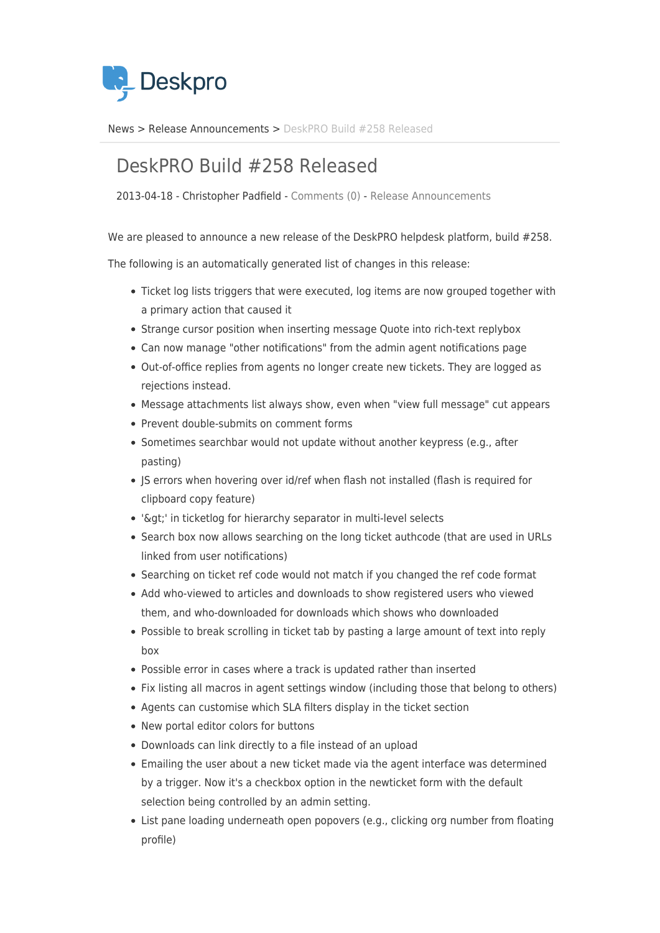

[News](https://support.deskpro.com/sv/news) > [Release Announcements](https://support.deskpro.com/sv/news/release-announcements) > [DeskPRO Build #258 Released](https://support.deskpro.com/sv/news/posts/deskpro-build-258-released)

## DeskPRO Build #258 Released

2013-04-18 - Christopher Padfield - [Comments \(0\)](#page--1-0) - [Release Announcements](https://support.deskpro.com/sv/news/release-announcements)

We are pleased to announce a new release of the DeskPRO helpdesk platform, build #258.

The following is an automatically generated list of changes in this release:

- Ticket log lists triggers that were executed, log items are now grouped together with a primary action that caused it
- Strange cursor position when inserting message Quote into rich-text replybox
- Can now manage "other notifications" from the admin agent notifications page
- Out-of-office replies from agents no longer create new tickets. They are logged as rejections instead.
- Message attachments list always show, even when "view full message" cut appears
- Prevent double-submits on comment forms
- Sometimes searchbar would not update without another keypress (e.g., after pasting)
- IS errors when hovering over id/ref when flash not installed (flash is required for clipboard copy feature)
- '>' in ticketlog for hierarchy separator in multi-level selects
- Search box now allows searching on the long ticket authcode (that are used in URLs linked from user notifications)
- Searching on ticket ref code would not match if you changed the ref code format
- Add who-viewed to articles and downloads to show registered users who viewed them, and who-downloaded for downloads which shows who downloaded
- Possible to break scrolling in ticket tab by pasting a large amount of text into reply box
- Possible error in cases where a track is updated rather than inserted
- Fix listing all macros in agent settings window (including those that belong to others)
- Agents can customise which SLA filters display in the ticket section
- New portal editor colors for buttons
- Downloads can link directly to a file instead of an upload
- Emailing the user about a new ticket made via the agent interface was determined by a trigger. Now it's a checkbox option in the newticket form with the default selection being controlled by an admin setting.
- List pane loading underneath open popovers (e.g., clicking org number from floating profile)